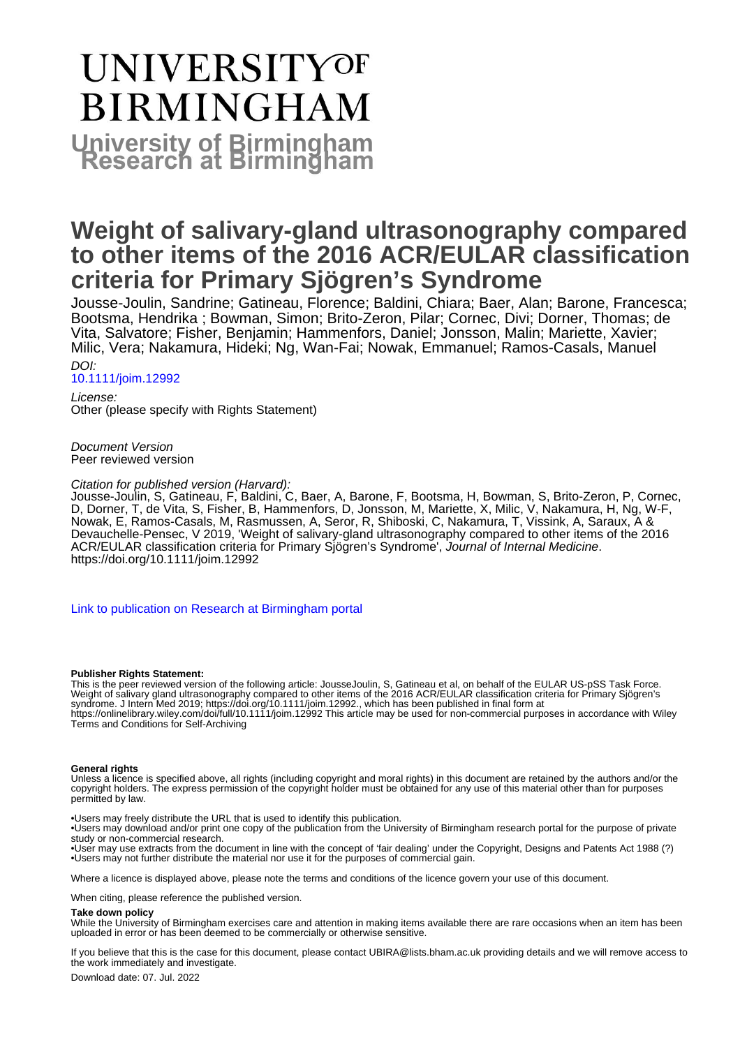# **UNIVERSITYOF BIRMINGHAM University of Birmingham**

# **Weight of salivary-gland ultrasonography compared to other items of the 2016 ACR/EULAR classification criteria for Primary Sjögren's Syndrome**

Jousse-Joulin, Sandrine; Gatineau, Florence; Baldini, Chiara; Baer, Alan; Barone, Francesca; Bootsma, Hendrika ; Bowman, Simon; Brito-Zeron, Pilar; Cornec, Divi; Dorner, Thomas; de Vita, Salvatore; Fisher, Benjamin; Hammenfors, Daniel; Jonsson, Malin; Mariette, Xavier; Milic, Vera; Nakamura, Hideki; Ng, Wan-Fai; Nowak, Emmanuel; Ramos-Casals, Manuel DOI:

[10.1111/joim.12992](https://doi.org/10.1111/joim.12992)

License: Other (please specify with Rights Statement)

Document Version Peer reviewed version

#### Citation for published version (Harvard):

Jousse-Joulin, S, Gatineau, F, Baldini, C, Baer, A, Barone, F, Bootsma, H, Bowman, S, Brito-Zeron, P, Cornec, D, Dorner, T, de Vita, S, Fisher, B, Hammenfors, D, Jonsson, M, Mariette, X, Milic, V, Nakamura, H, Ng, W-F, Nowak, E, Ramos-Casals, M, Rasmussen, A, Seror, R, Shiboski, C, Nakamura, T, Vissink, A, Saraux, A & Devauchelle-Pensec, V 2019, 'Weight of salivary-gland ultrasonography compared to other items of the 2016 ACR/EULAR classification criteria for Primary Sjögren's Syndrome', Journal of Internal Medicine. <https://doi.org/10.1111/joim.12992>

[Link to publication on Research at Birmingham portal](https://birmingham.elsevierpure.com/en/publications/9d29e4d7-6a63-40f7-ba32-7230420e1067)

#### **Publisher Rights Statement:**

This is the peer reviewed version of the following article: JousseJoulin, S, Gatineau et al, on behalf of the EULAR US-pSS Task Force. Weight of salivary gland ultrasonography compared to other items of the 2016 ACR/EULAR classification criteria for Primary Sjögren's syndrome. J Intern Med 2019; https://doi.org/10.1111/joim.12992., which has been published in final form at https://onlinelibrary.wiley.com/doi/full/10.1111/joim.12992 This article may be used for non-commercial purposes in accordance with Wiley Terms and Conditions for Self-Archiving

#### **General rights**

Unless a licence is specified above, all rights (including copyright and moral rights) in this document are retained by the authors and/or the copyright holders. The express permission of the copyright holder must be obtained for any use of this material other than for purposes permitted by law.

- Users may freely distribute the URL that is used to identify this publication.
- • Users may download and/or print one copy of the publication from the University of Birmingham research portal for the purpose of private study or non-commercial research.
- • User may use extracts from the document in line with the concept of 'fair dealing' under the Copyright, Designs and Patents Act 1988 (?) • Users may not further distribute the material nor use it for the purposes of commercial gain.

Where a licence is displayed above, please note the terms and conditions of the licence govern your use of this document.

When citing, please reference the published version.

#### **Take down policy**

While the University of Birmingham exercises care and attention in making items available there are rare occasions when an item has been uploaded in error or has been deemed to be commercially or otherwise sensitive.

If you believe that this is the case for this document, please contact UBIRA@lists.bham.ac.uk providing details and we will remove access to the work immediately and investigate.

Download date: 07. Jul. 2022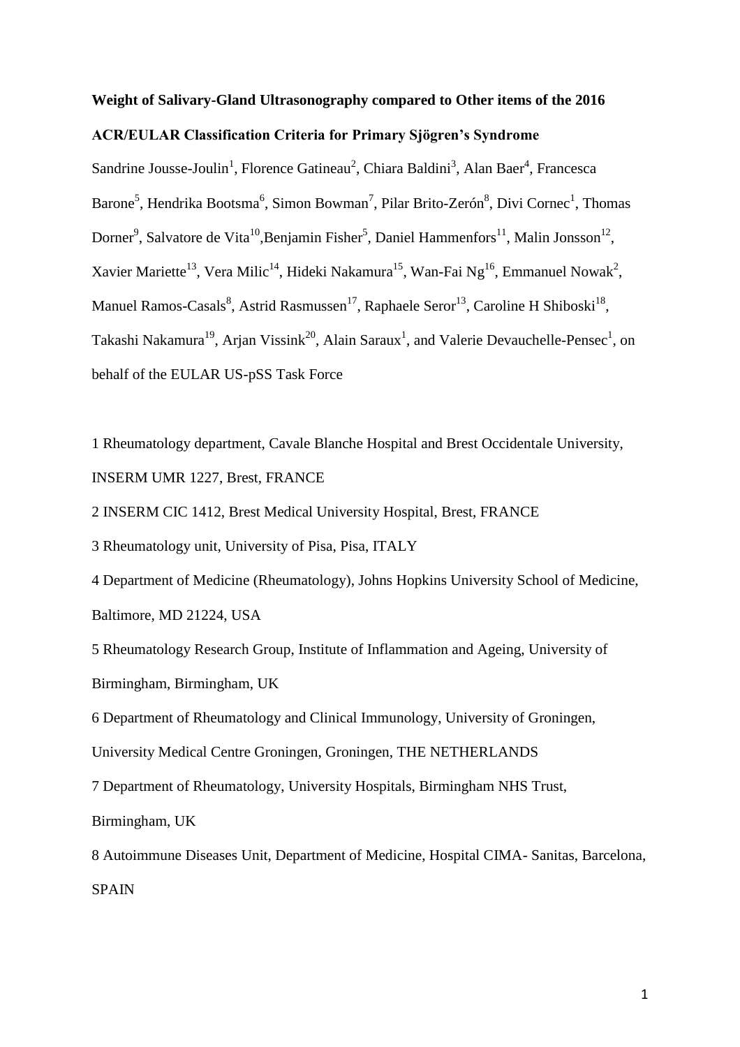## **Weight of Salivary-Gland Ultrasonography compared to Other items of the 2016 ACR/EULAR Classification Criteria for Primary Sjögren's Syndrome**

Sandrine Jousse-Joulin<sup>1</sup>, Florence Gatineau<sup>2</sup>, Chiara Baldini<sup>3</sup>, Alan Baer<sup>4</sup>, Francesca Barone<sup>5</sup>, Hendrika Bootsma<sup>6</sup>, Simon Bowman<sup>7</sup>, Pilar Brito-Zerón<sup>8</sup>, Divi Cornec<sup>1</sup>, Thomas Dorner<sup>9</sup>, Salvatore de Vita<sup>10</sup>, Benjamin Fisher<sup>5</sup>, Daniel Hammenfors<sup>11</sup>, Malin Jonsson<sup>12</sup>, Xavier Mariette<sup>13</sup>, Vera Milic<sup>14</sup>, Hideki Nakamura<sup>15</sup>, Wan-Fai Ng<sup>16</sup>, Emmanuel Nowak<sup>2</sup>, Manuel Ramos-Casals<sup>8</sup>, Astrid Rasmussen<sup>17</sup>, Raphaele Seror<sup>13</sup>, Caroline H Shiboski<sup>18</sup>, Takashi Nakamura<sup>19</sup>, Arjan Vissink<sup>20</sup>, Alain Saraux<sup>1</sup>, and Valerie Devauchelle-Pensec<sup>1</sup>, on behalf of the EULAR US-pSS Task Force

1 Rheumatology department, Cavale Blanche Hospital and Brest Occidentale University, INSERM UMR 1227, Brest, FRANCE

2 INSERM CIC 1412, Brest Medical University Hospital, Brest, FRANCE

3 Rheumatology unit, University of Pisa, Pisa, ITALY

4 Department of Medicine (Rheumatology), Johns Hopkins University School of Medicine, Baltimore, MD 21224, USA

5 Rheumatology Research Group, Institute of Inflammation and Ageing, University of Birmingham, Birmingham, UK

6 Department of Rheumatology and Clinical Immunology, University of Groningen,

University Medical Centre Groningen, Groningen, THE NETHERLANDS

7 Department of Rheumatology, University Hospitals, Birmingham NHS Trust,

Birmingham, UK

8 Autoimmune Diseases Unit, Department of Medicine, Hospital CIMA- Sanitas, Barcelona, SPAIN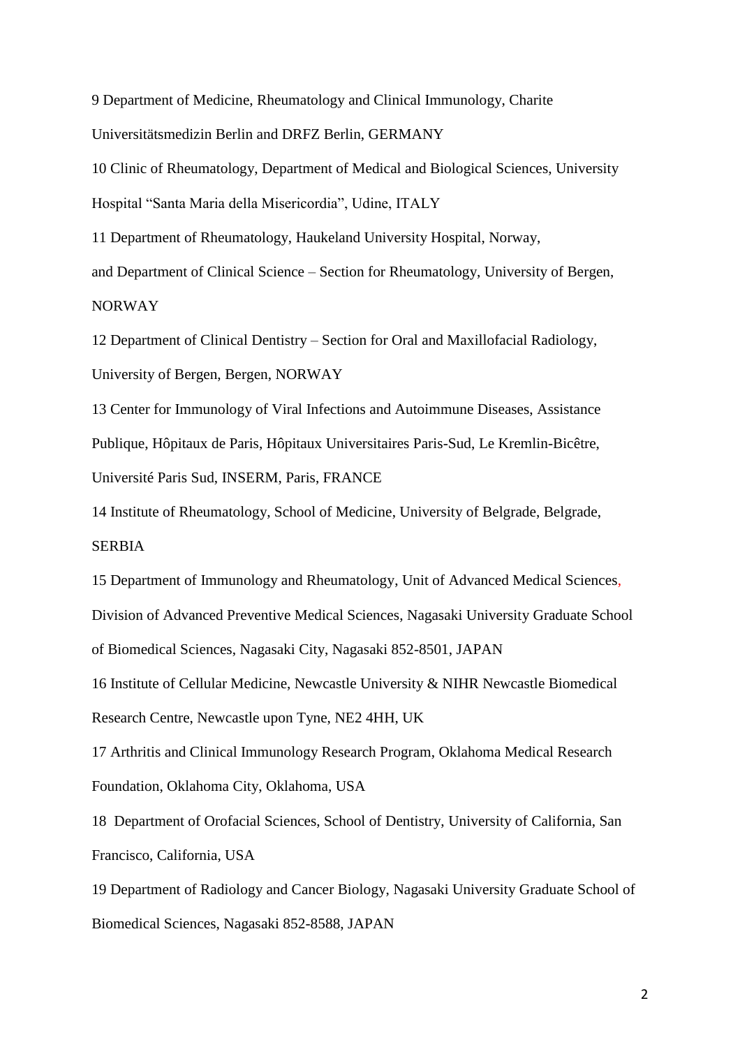9 Department of Medicine, Rheumatology and Clinical Immunology, Charite Universitätsmedizin Berlin and DRFZ Berlin, GERMANY

10 Clinic of Rheumatology, Department of Medical and Biological Sciences, University Hospital "Santa Maria della Misericordia", Udine, ITALY

11 Department of Rheumatology, Haukeland University Hospital, Norway,

and Department of Clinical Science – Section for Rheumatology, University of Bergen, NORWAY

12 Department of Clinical Dentistry – Section for Oral and Maxillofacial Radiology, University of Bergen, Bergen, NORWAY

13 Center for Immunology of Viral Infections and Autoimmune Diseases, Assistance Publique, Hôpitaux de Paris, Hôpitaux Universitaires Paris-Sud, Le Kremlin-Bicêtre, Université Paris Sud, INSERM, Paris, FRANCE

14 Institute of Rheumatology, School of Medicine, University of Belgrade, Belgrade, **SERBIA** 

15 Department of Immunology and Rheumatology, Unit of Advanced Medical Sciences, Division of Advanced Preventive Medical Sciences, Nagasaki University Graduate School of Biomedical Sciences, Nagasaki City, Nagasaki 852-8501, JAPAN

16 Institute of Cellular Medicine, Newcastle University & NIHR Newcastle Biomedical Research Centre, Newcastle upon Tyne, NE2 4HH, UK

17 Arthritis and Clinical Immunology Research Program, Oklahoma Medical Research Foundation, Oklahoma City, Oklahoma, USA

18 Department of Orofacial Sciences, School of Dentistry, University of California, San Francisco, California, USA

19 Department of Radiology and Cancer Biology, Nagasaki University Graduate School of Biomedical Sciences, Nagasaki 852-8588, JAPAN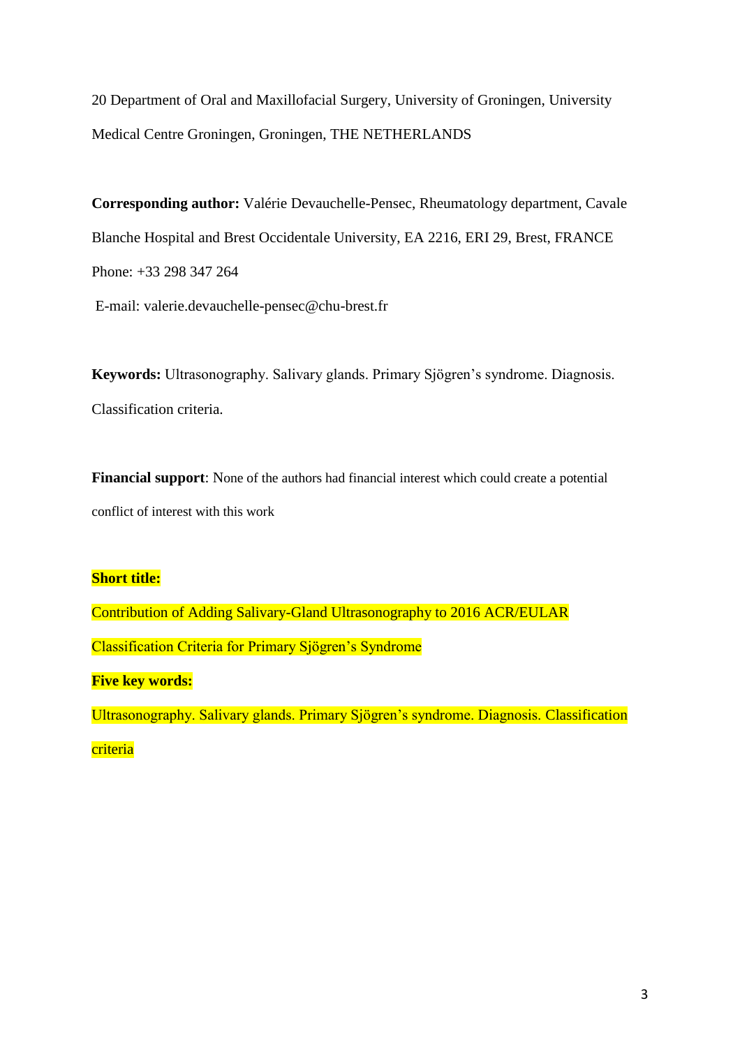20 Department of Oral and Maxillofacial Surgery, University of Groningen, University Medical Centre Groningen, Groningen, THE NETHERLANDS

**Corresponding author:** Valérie Devauchelle-Pensec, Rheumatology department, Cavale Blanche Hospital and Brest Occidentale University, EA 2216, ERI 29, Brest, FRANCE Phone: +33 298 347 264

E-mail: [valerie.devauchelle-pensec@chu-brest.fr](mailto:valerie.devauchelle-pensec@chu-brest.fr)

**Keywords:** Ultrasonography. Salivary glands. Primary Sjögren's syndrome. Diagnosis. Classification criteria.

**Financial support**: None of the authors had financial interest which could create a potential conflict of interest with this work

## **Short title:**

Contribution of Adding Salivary-Gland Ultrasonography to 2016 ACR/EULAR Classification Criteria for Primary Sjögren's Syndrome **Five key words:** Ultrasonography. Salivary glands. Primary Sjögren's syndrome. Diagnosis. Classification

criteria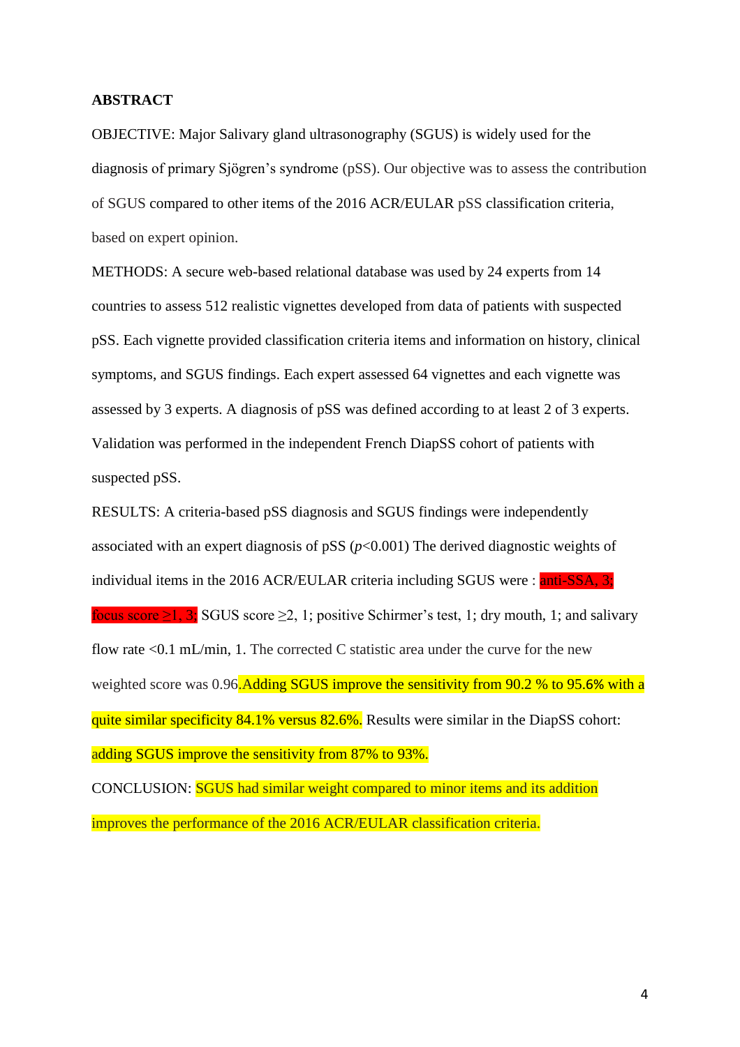#### **ABSTRACT**

OBJECTIVE: Major Salivary gland ultrasonography (SGUS) is widely used for the diagnosis of primary Sjögren's syndrome (pSS). Our objective was to assess the contribution of SGUS compared to other items of the 2016 ACR/EULAR pSS classification criteria, based on expert opinion.

METHODS: A secure web-based relational database was used by 24 experts from 14 countries to assess 512 realistic vignettes developed from data of patients with suspected pSS. Each vignette provided classification criteria items and information on history, clinical symptoms, and SGUS findings. Each expert assessed 64 vignettes and each vignette was assessed by 3 experts. A diagnosis of pSS was defined according to at least 2 of 3 experts. Validation was performed in the independent French DiapSS cohort of patients with suspected pSS.

RESULTS: A criteria-based pSS diagnosis and SGUS findings were independently associated with an expert diagnosis of  $pSS (p<0.001)$  The derived diagnostic weights of individual items in the 2016 ACR/EULAR criteria including SGUS were : anti-SSA, 3; focus score  $\geq 1$ , 3; SGUS score  $\geq 2$ , 1; positive Schirmer's test, 1; dry mouth, 1; and salivary flow rate <0.1 mL/min, 1. The corrected C statistic area under the curve for the new weighted score was 0.96.Adding SGUS improve the sensitivity from 90.2 % to 95.6% with a quite similar specificity 84.1% versus 82.6%. Results were similar in the DiapSS cohort: adding SGUS improve the sensitivity from 87% to 93%.

CONCLUSION: SGUS had similar weight compared to minor items and its addition improves the performance of the 2016 ACR/EULAR classification criteria.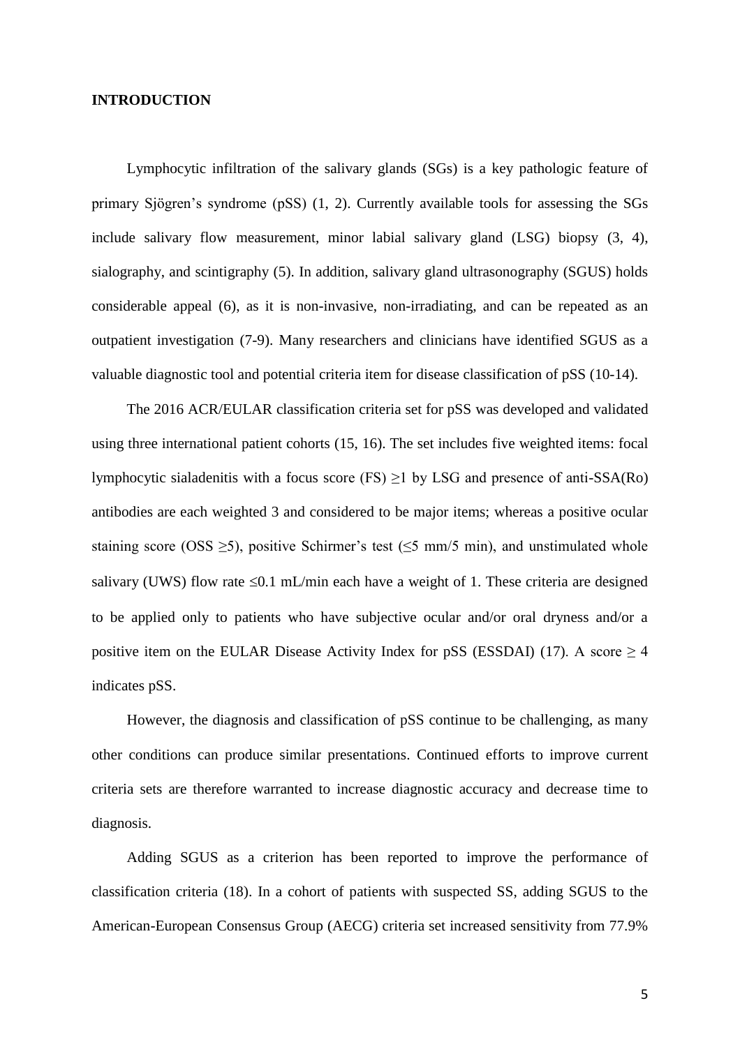#### **INTRODUCTION**

Lymphocytic infiltration of the salivary glands (SGs) is a key pathologic feature of primary Sjögren's syndrome (pSS) (1, 2). Currently available tools for assessing the SGs include salivary flow measurement, minor labial salivary gland (LSG) biopsy (3, 4), sialography, and scintigraphy (5). In addition, salivary gland ultrasonography (SGUS) holds considerable appeal (6), as it is non-invasive, non-irradiating, and can be repeated as an outpatient investigation (7-9). Many researchers and clinicians have identified SGUS as a valuable diagnostic tool and potential criteria item for disease classification of pSS (10-14).

The 2016 ACR/EULAR classification criteria set for pSS was developed and validated using three international patient cohorts (15, 16). The set includes five weighted items: focal lymphocytic sialadenitis with a focus score (FS)  $\geq$ 1 by LSG and presence of anti-SSA(Ro) antibodies are each weighted 3 and considered to be major items; whereas a positive ocular staining score (OSS  $\geq$ 5), positive Schirmer's test ( $\leq$ 5 mm/5 min), and unstimulated whole salivary (UWS) flow rate  $\leq 0.1$  mL/min each have a weight of 1. These criteria are designed to be applied only to patients who have subjective ocular and/or oral dryness and/or a positive item on the EULAR Disease Activity Index for pSS (ESSDAI) (17). A score  $\geq 4$ indicates pSS.

However, the diagnosis and classification of pSS continue to be challenging, as many other conditions can produce similar presentations. Continued efforts to improve current criteria sets are therefore warranted to increase diagnostic accuracy and decrease time to diagnosis.

Adding SGUS as a criterion has been reported to improve the performance of classification criteria (18). In a cohort of patients with suspected SS, adding SGUS to the American-European Consensus Group (AECG) criteria set increased sensitivity from 77.9%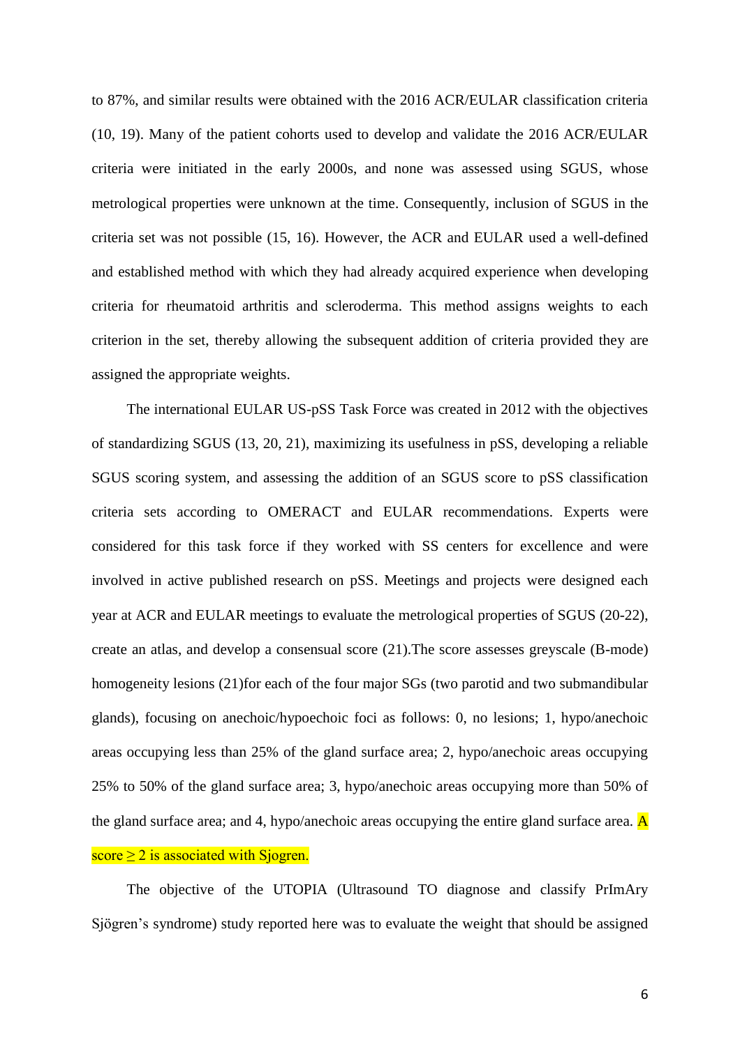to 87%, and similar results were obtained with the 2016 ACR/EULAR classification criteria (10, 19). Many of the patient cohorts used to develop and validate the 2016 ACR/EULAR criteria were initiated in the early 2000s, and none was assessed using SGUS, whose metrological properties were unknown at the time. Consequently, inclusion of SGUS in the criteria set was not possible (15, 16). However, the ACR and EULAR used a well-defined and established method with which they had already acquired experience when developing criteria for rheumatoid arthritis and scleroderma. This method assigns weights to each criterion in the set, thereby allowing the subsequent addition of criteria provided they are assigned the appropriate weights.

The international EULAR US-pSS Task Force was created in 2012 with the objectives of standardizing SGUS (13, 20, 21), maximizing its usefulness in pSS, developing a reliable SGUS scoring system, and assessing the addition of an SGUS score to pSS classification criteria sets according to OMERACT and EULAR recommendations. Experts were considered for this task force if they worked with SS centers for excellence and were involved in active published research on pSS. Meetings and projects were designed each year at ACR and EULAR meetings to evaluate the metrological properties of SGUS (20-22), create an atlas, and develop a consensual score (21).The score assesses greyscale (B-mode) homogeneity lesions (21)for each of the four major SGs (two parotid and two submandibular glands), focusing on anechoic/hypoechoic foci as follows: 0, no lesions; 1, hypo/anechoic areas occupying less than 25% of the gland surface area; 2, hypo/anechoic areas occupying 25% to 50% of the gland surface area; 3, hypo/anechoic areas occupying more than 50% of the gland surface area; and 4, hypo/anechoic areas occupying the entire gland surface area.  $\overline{A}$ score  $\geq 2$  is associated with Sjogren.

The objective of the UTOPIA (Ultrasound TO diagnose and classify PrImAry Sjögren's syndrome) study reported here was to evaluate the weight that should be assigned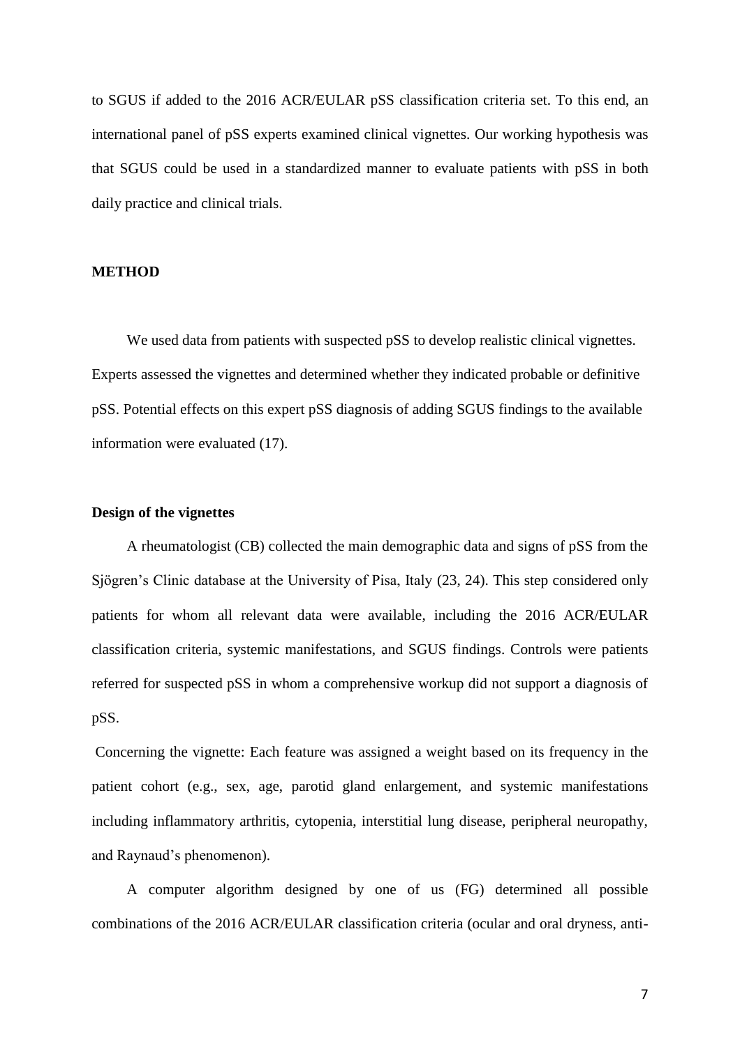to SGUS if added to the 2016 ACR/EULAR pSS classification criteria set. To this end, an international panel of pSS experts examined clinical vignettes. Our working hypothesis was that SGUS could be used in a standardized manner to evaluate patients with pSS in both daily practice and clinical trials.

#### **METHOD**

We used data from patients with suspected pSS to develop realistic clinical vignettes. Experts assessed the vignettes and determined whether they indicated probable or definitive pSS. Potential effects on this expert pSS diagnosis of adding SGUS findings to the available information were evaluated (17).

## **Design of the vignettes**

A rheumatologist (CB) collected the main demographic data and signs of pSS from the Sjögren's Clinic database at the University of Pisa, Italy (23, 24). This step considered only patients for whom all relevant data were available, including the 2016 ACR/EULAR classification criteria, systemic manifestations, and SGUS findings. Controls were patients referred for suspected pSS in whom a comprehensive workup did not support a diagnosis of pSS.

Concerning the vignette: Each feature was assigned a weight based on its frequency in the patient cohort (e.g., sex, age, parotid gland enlargement, and systemic manifestations including inflammatory arthritis, cytopenia, interstitial lung disease, peripheral neuropathy, and Raynaud's phenomenon).

A computer algorithm designed by one of us (FG) determined all possible combinations of the 2016 ACR/EULAR classification criteria (ocular and oral dryness, anti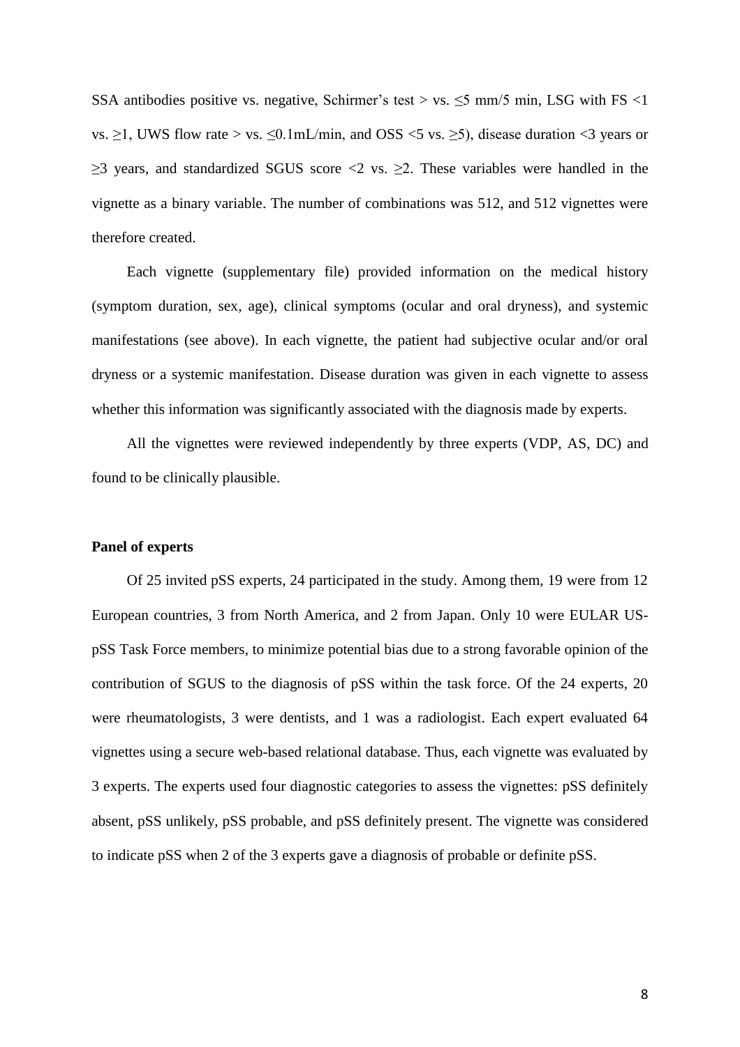SSA antibodies positive vs. negative, Schirmer's test > vs.  $\leq$ 5 mm/5 min, LSG with FS <1 vs. ≥1, UWS flow rate > vs. ≤0.1mL/min, and OSS <5 vs. ≥5), disease duration <3 years or  $\geq$ 3 years, and standardized SGUS score <2 vs.  $\geq$ 2. These variables were handled in the vignette as a binary variable. The number of combinations was 512, and 512 vignettes were therefore created.

Each vignette (supplementary file) provided information on the medical history (symptom duration, sex, age), clinical symptoms (ocular and oral dryness), and systemic manifestations (see above). In each vignette, the patient had subjective ocular and/or oral dryness or a systemic manifestation. Disease duration was given in each vignette to assess whether this information was significantly associated with the diagnosis made by experts.

All the vignettes were reviewed independently by three experts (VDP, AS, DC) and found to be clinically plausible.

#### **Panel of experts**

Of 25 invited pSS experts, 24 participated in the study. Among them, 19 were from 12 European countries, 3 from North America, and 2 from Japan. Only 10 were EULAR USpSS Task Force members, to minimize potential bias due to a strong favorable opinion of the contribution of SGUS to the diagnosis of pSS within the task force. Of the 24 experts, 20 were rheumatologists, 3 were dentists, and 1 was a radiologist. Each expert evaluated 64 vignettes using a secure web-based relational database. Thus, each vignette was evaluated by 3 experts. The experts used four diagnostic categories to assess the vignettes: pSS definitely absent, pSS unlikely, pSS probable, and pSS definitely present. The vignette was considered to indicate pSS when 2 of the 3 experts gave a diagnosis of probable or definite pSS.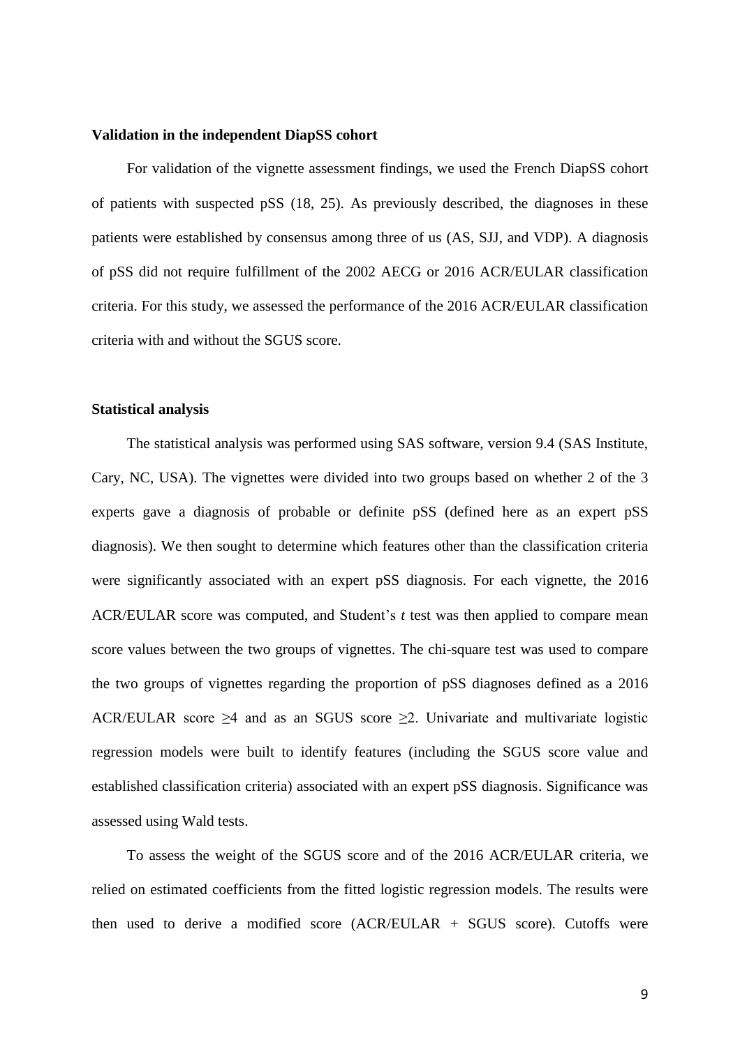#### **Validation in the independent DiapSS cohort**

For validation of the vignette assessment findings, we used the French DiapSS cohort of patients with suspected pSS (18, 25). As previously described, the diagnoses in these patients were established by consensus among three of us (AS, SJJ, and VDP). A diagnosis of pSS did not require fulfillment of the 2002 AECG or 2016 ACR/EULAR classification criteria. For this study, we assessed the performance of the 2016 ACR/EULAR classification criteria with and without the SGUS score.

#### **Statistical analysis**

The statistical analysis was performed using SAS software, version 9.4 (SAS Institute, Cary, NC, USA). The vignettes were divided into two groups based on whether 2 of the 3 experts gave a diagnosis of probable or definite pSS (defined here as an expert pSS diagnosis). We then sought to determine which features other than the classification criteria were significantly associated with an expert pSS diagnosis. For each vignette, the 2016 ACR/EULAR score was computed, and Student's *t* test was then applied to compare mean score values between the two groups of vignettes. The chi-square test was used to compare the two groups of vignettes regarding the proportion of pSS diagnoses defined as a 2016 ACR/EULAR score  $\geq 4$  and as an SGUS score  $\geq 2$ . Univariate and multivariate logistic regression models were built to identify features (including the SGUS score value and established classification criteria) associated with an expert pSS diagnosis. Significance was assessed using Wald tests.

To assess the weight of the SGUS score and of the 2016 ACR/EULAR criteria, we relied on estimated coefficients from the fitted logistic regression models. The results were then used to derive a modified score (ACR/EULAR + SGUS score). Cutoffs were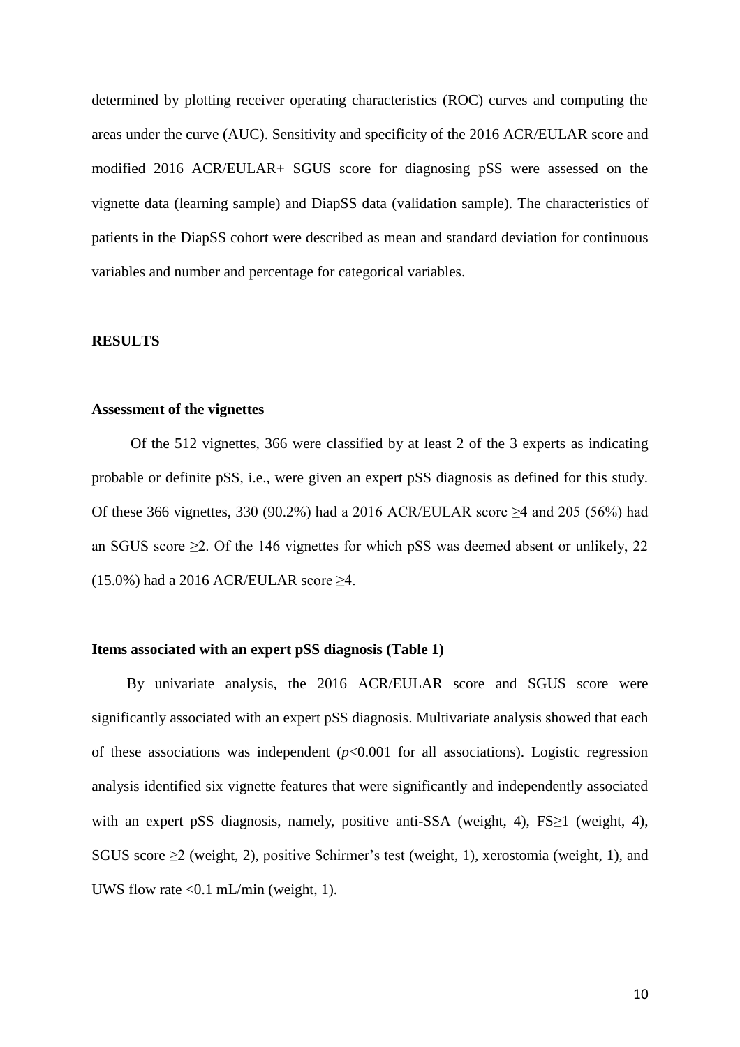determined by plotting receiver operating characteristics (ROC) curves and computing the areas under the curve (AUC). Sensitivity and specificity of the 2016 ACR/EULAR score and modified 2016 ACR/EULAR+ SGUS score for diagnosing pSS were assessed on the vignette data (learning sample) and DiapSS data (validation sample). The characteristics of patients in the DiapSS cohort were described as mean and standard deviation for continuous variables and number and percentage for categorical variables.

#### **RESULTS**

#### **Assessment of the vignettes**

Of the 512 vignettes, 366 were classified by at least 2 of the 3 experts as indicating probable or definite pSS, i.e., were given an expert pSS diagnosis as defined for this study. Of these 366 vignettes, 330 (90.2%) had a 2016 ACR/EULAR score  $\geq$ 4 and 205 (56%) had an SGUS score  $\geq$ 2. Of the 146 vignettes for which pSS was deemed absent or unlikely, 22 (15.0%) had a 2016 ACR/EULAR score  $\geq$ 4.

#### **Items associated with an expert pSS diagnosis (Table 1)**

By univariate analysis, the 2016 ACR/EULAR score and SGUS score were significantly associated with an expert pSS diagnosis. Multivariate analysis showed that each of these associations was independent  $(p<0.001$  for all associations). Logistic regression analysis identified six vignette features that were significantly and independently associated with an expert pSS diagnosis, namely, positive anti-SSA (weight, 4), FS≥1 (weight, 4), SGUS score  $\geq$  (weight, 2), positive Schirmer's test (weight, 1), xerostomia (weight, 1), and UWS flow rate  $< 0.1$  mL/min (weight, 1).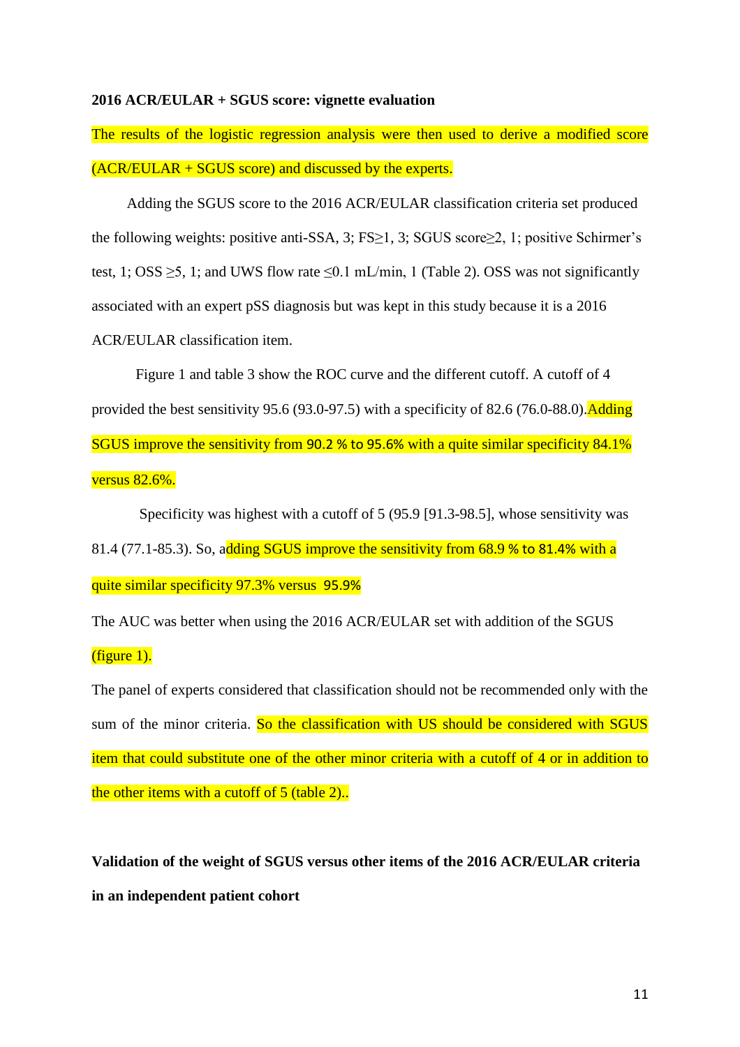### **2016 ACR/EULAR + SGUS score: vignette evaluation**

The results of the logistic regression analysis were then used to derive a modified score (ACR/EULAR + SGUS score) and discussed by the experts.

Adding the SGUS score to the 2016 ACR/EULAR classification criteria set produced the following weights: positive anti-SSA, 3; FS $\geq$ 1, 3; SGUS score $\geq$ 2, 1; positive Schirmer's test, 1; OSS  $\geq$ 5, 1; and UWS flow rate  $\leq$ 0.1 mL/min, 1 (Table 2). OSS was not significantly associated with an expert pSS diagnosis but was kept in this study because it is a 2016 ACR/EULAR classification item.

Figure 1 and table 3 show the ROC curve and the different cutoff. A cutoff of 4 provided the best sensitivity 95.6 (93.0-97.5) with a specificity of 82.6 (76.0-88.0). Adding SGUS improve the sensitivity from 90.2 % to 95.6% with a quite similar specificity 84.1% versus 82.6%.

Specificity was highest with a cutoff of 5 (95.9 [91.3-98.5], whose sensitivity was 81.4 (77.1-85.3). So, adding SGUS improve the sensitivity from 68.9 % to 81.4% with a quite similar specificity 97.3% versus 95.9%

The AUC was better when using the 2016 ACR/EULAR set with addition of the SGUS  $(figure 1).$ 

The panel of experts considered that classification should not be recommended only with the sum of the minor criteria. So the classification with US should be considered with SGUS item that could substitute one of the other minor criteria with a cutoff of 4 or in addition to the other items with a cutoff of 5 (table 2)..

**Validation of the weight of SGUS versus other items of the 2016 ACR/EULAR criteria in an independent patient cohort**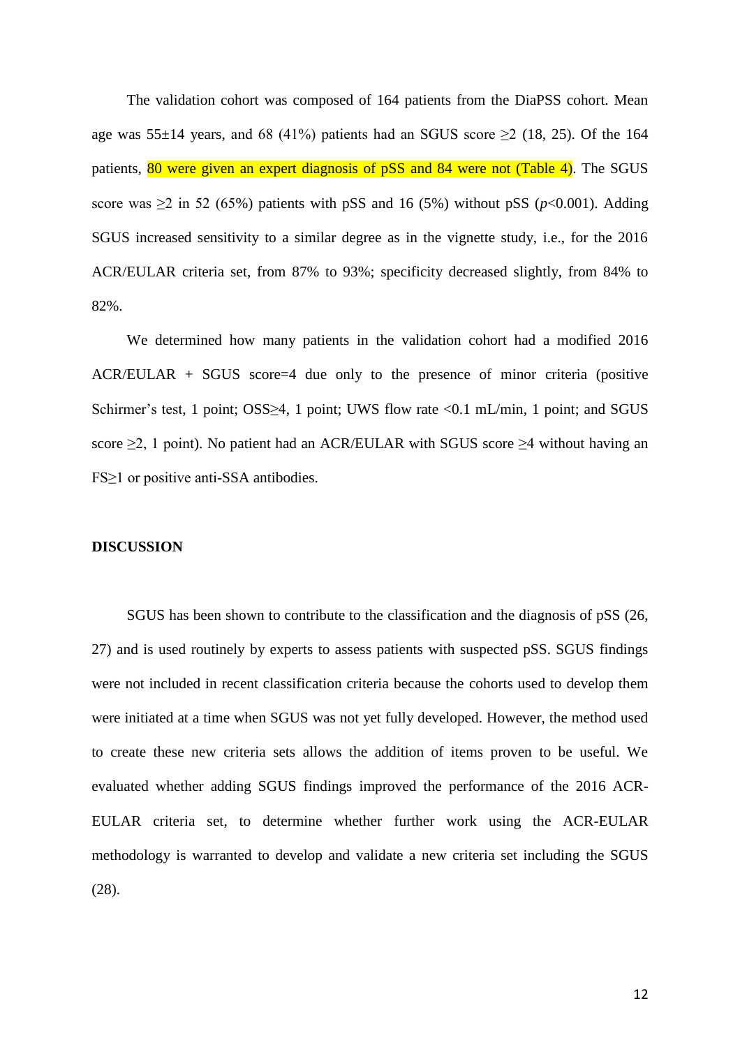The validation cohort was composed of 164 patients from the DiaPSS cohort. Mean age was  $55\pm14$  years, and 68 (41%) patients had an SGUS score  $\geq$  (18, 25). Of the 164 patients, 80 were given an expert diagnosis of pSS and 84 were not (Table 4). The SGUS score was  $\geq$ 2 in 52 (65%) patients with pSS and 16 (5%) without pSS ( $p$ <0.001). Adding SGUS increased sensitivity to a similar degree as in the vignette study, i.e., for the 2016 ACR/EULAR criteria set, from 87% to 93%; specificity decreased slightly, from 84% to 82%.

We determined how many patients in the validation cohort had a modified 2016  $ACR/EULAR$  + SGUS score=4 due only to the presence of minor criteria (positive Schirmer's test, 1 point; OSS≥4, 1 point; UWS flow rate <0.1 mL/min, 1 point; and SGUS score  $\geq 2$ , 1 point). No patient had an ACR/EULAR with SGUS score  $\geq 4$  without having an FS≥1 or positive anti-SSA antibodies.

#### **DISCUSSION**

SGUS has been shown to contribute to the classification and the diagnosis of pSS (26, 27) and is used routinely by experts to assess patients with suspected pSS. SGUS findings were not included in recent classification criteria because the cohorts used to develop them were initiated at a time when SGUS was not yet fully developed. However, the method used to create these new criteria sets allows the addition of items proven to be useful. We evaluated whether adding SGUS findings improved the performance of the 2016 ACR-EULAR criteria set, to determine whether further work using the ACR-EULAR methodology is warranted to develop and validate a new criteria set including the SGUS (28).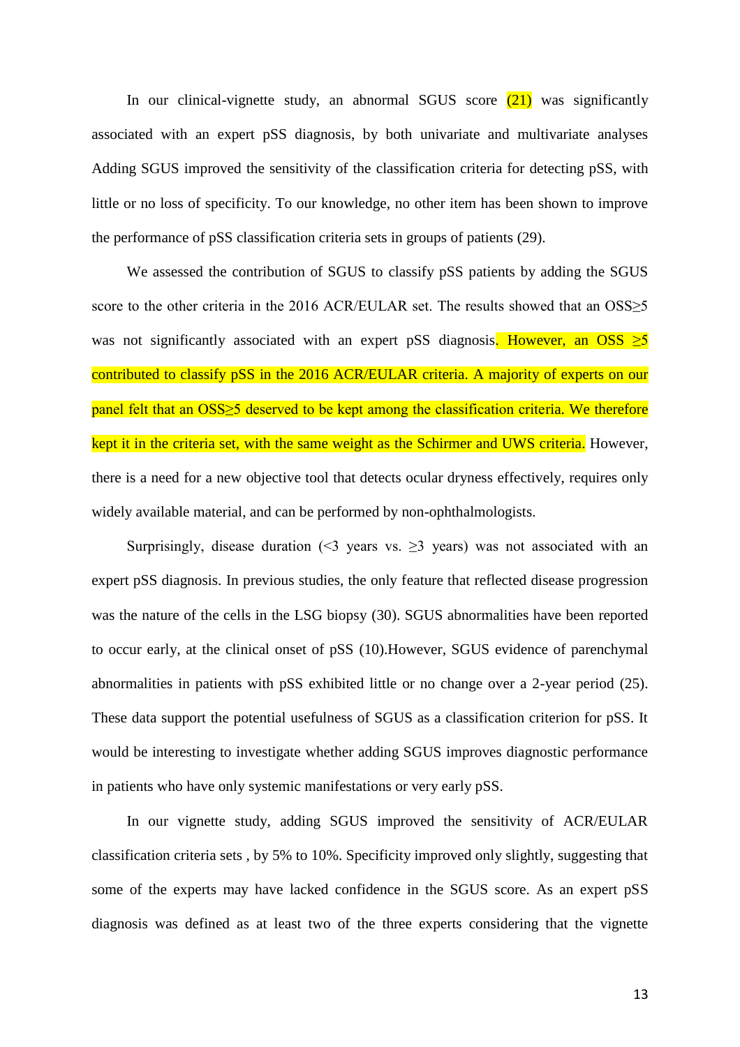In our clinical-vignette study, an abnormal SGUS score  $(21)$  was significantly associated with an expert pSS diagnosis, by both univariate and multivariate analyses Adding SGUS improved the sensitivity of the classification criteria for detecting pSS, with little or no loss of specificity. To our knowledge, no other item has been shown to improve the performance of pSS classification criteria sets in groups of patients (29).

We assessed the contribution of SGUS to classify pSS patients by adding the SGUS score to the other criteria in the 2016 ACR/EULAR set. The results showed that an OSS≥5 was not significantly associated with an expert pSS diagnosis. However, an OSS  $\geq$ 5 contributed to classify pSS in the 2016 ACR/EULAR criteria. A majority of experts on our panel felt that an OSS≥5 deserved to be kept among the classification criteria. We therefore kept it in the criteria set, with the same weight as the Schirmer and UWS criteria. However, there is a need for a new objective tool that detects ocular dryness effectively, requires only widely available material, and can be performed by non-ophthalmologists.

Surprisingly, disease duration (<3 years vs.  $\geq$ 3 years) was not associated with an expert pSS diagnosis. In previous studies, the only feature that reflected disease progression was the nature of the cells in the LSG biopsy (30). SGUS abnormalities have been reported to occur early, at the clinical onset of pSS (10).However, SGUS evidence of parenchymal abnormalities in patients with pSS exhibited little or no change over a 2-year period (25). These data support the potential usefulness of SGUS as a classification criterion for pSS. It would be interesting to investigate whether adding SGUS improves diagnostic performance in patients who have only systemic manifestations or very early pSS.

In our vignette study, adding SGUS improved the sensitivity of ACR/EULAR classification criteria sets , by 5% to 10%. Specificity improved only slightly, suggesting that some of the experts may have lacked confidence in the SGUS score. As an expert pSS diagnosis was defined as at least two of the three experts considering that the vignette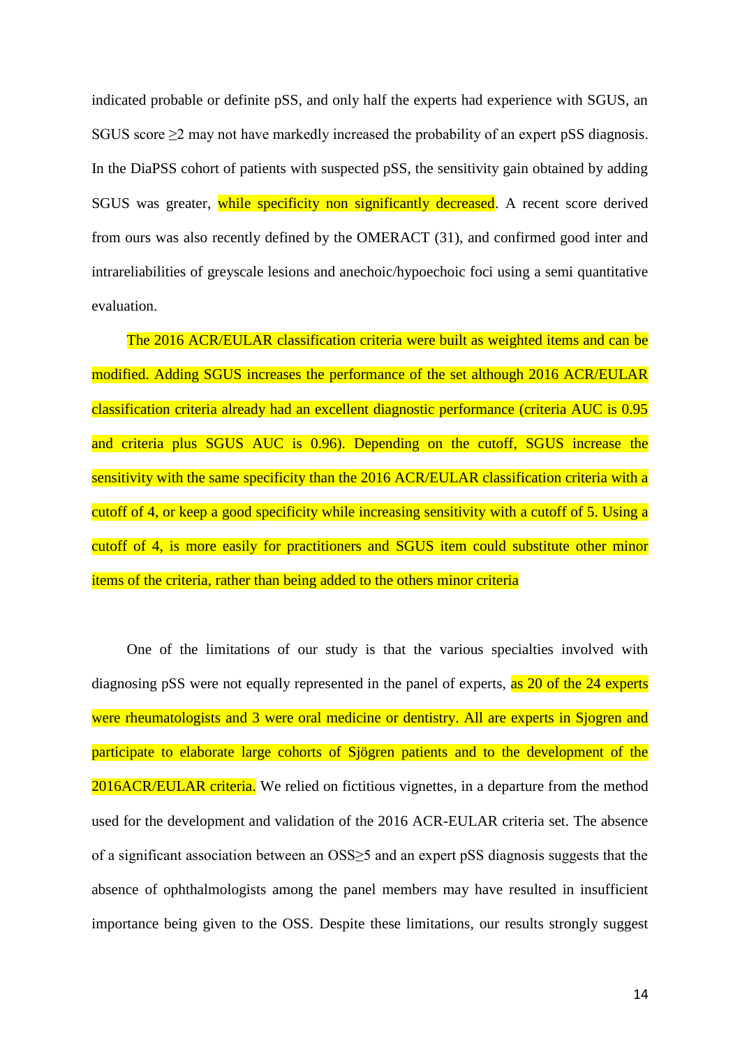indicated probable or definite pSS, and only half the experts had experience with SGUS, an SGUS score  $\geq$  2 may not have markedly increased the probability of an expert pSS diagnosis. In the DiaPSS cohort of patients with suspected pSS, the sensitivity gain obtained by adding SGUS was greater, while specificity non significantly decreased. A recent score derived from ours was also recently defined by the OMERACT (31), and confirmed good inter and intrareliabilities of greyscale lesions and anechoic/hypoechoic foci using a semi quantitative evaluation.

The 2016 ACR/EULAR classification criteria were built as weighted items and can be modified. Adding SGUS increases the performance of the set although 2016 ACR/EULAR classification criteria already had an excellent diagnostic performance (criteria AUC is 0.95 and criteria plus SGUS AUC is 0.96). Depending on the cutoff, SGUS increase the sensitivity with the same specificity than the 2016 ACR/EULAR classification criteria with a cutoff of 4, or keep a good specificity while increasing sensitivity with a cutoff of 5. Using a cutoff of 4, is more easily for practitioners and SGUS item could substitute other minor items of the criteria, rather than being added to the others minor criteria

One of the limitations of our study is that the various specialties involved with diagnosing pSS were not equally represented in the panel of experts, as 20 of the 24 experts were rheumatologists and 3 were oral medicine or dentistry. All are experts in Sjogren and participate to elaborate large cohorts of Sjögren patients and to the development of the 2016ACR/EULAR criteria. We relied on fictitious vignettes, in a departure from the method used for the development and validation of the 2016 ACR-EULAR criteria set. The absence of a significant association between an OSS≥5 and an expert pSS diagnosis suggests that the absence of ophthalmologists among the panel members may have resulted in insufficient importance being given to the OSS. Despite these limitations, our results strongly suggest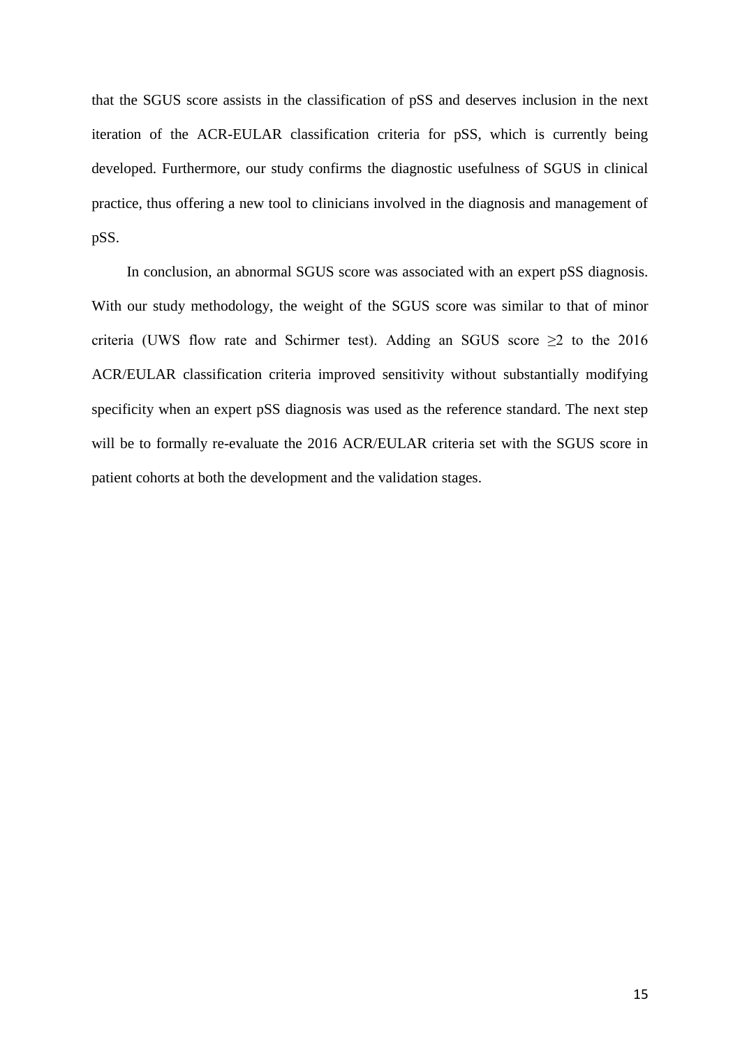that the SGUS score assists in the classification of pSS and deserves inclusion in the next iteration of the ACR-EULAR classification criteria for pSS, which is currently being developed. Furthermore, our study confirms the diagnostic usefulness of SGUS in clinical practice, thus offering a new tool to clinicians involved in the diagnosis and management of pSS.

In conclusion, an abnormal SGUS score was associated with an expert pSS diagnosis. With our study methodology, the weight of the SGUS score was similar to that of minor criteria (UWS flow rate and Schirmer test). Adding an SGUS score  $\geq 2$  to the 2016 ACR/EULAR classification criteria improved sensitivity without substantially modifying specificity when an expert pSS diagnosis was used as the reference standard. The next step will be to formally re-evaluate the 2016 ACR/EULAR criteria set with the SGUS score in patient cohorts at both the development and the validation stages.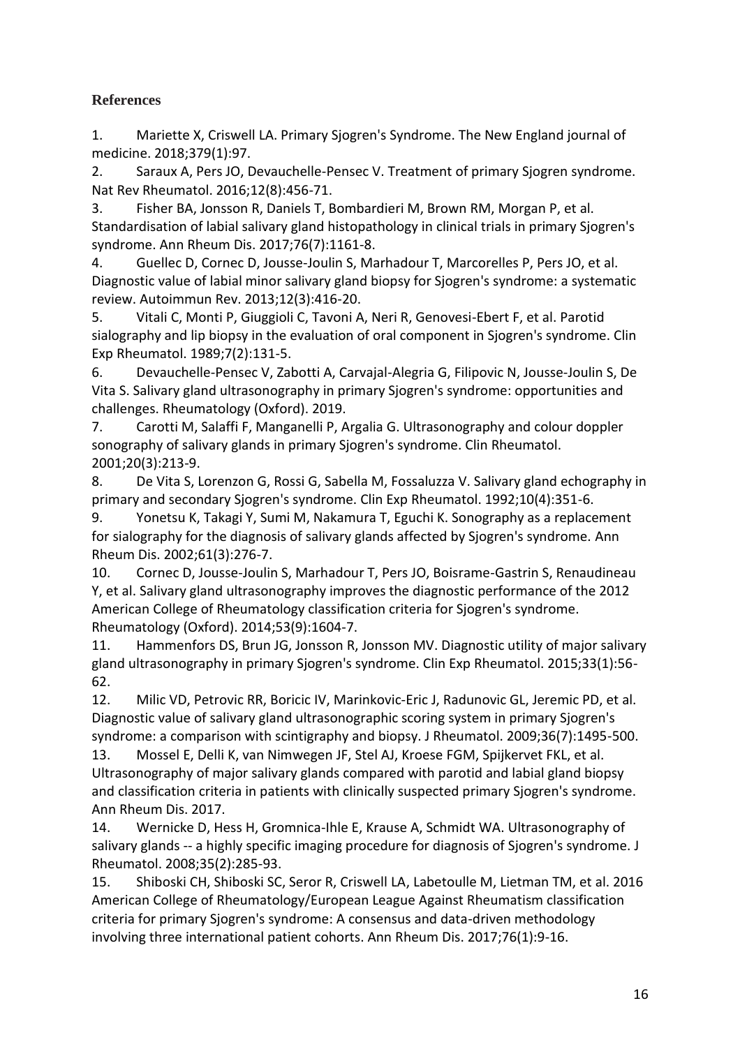## **References**

1. Mariette X, Criswell LA. Primary Sjogren's Syndrome. The New England journal of medicine. 2018;379(1):97.

2. Saraux A, Pers JO, Devauchelle-Pensec V. Treatment of primary Sjogren syndrome. Nat Rev Rheumatol. 2016;12(8):456-71.

3. Fisher BA, Jonsson R, Daniels T, Bombardieri M, Brown RM, Morgan P, et al. Standardisation of labial salivary gland histopathology in clinical trials in primary Sjogren's syndrome. Ann Rheum Dis. 2017;76(7):1161-8.

4. Guellec D, Cornec D, Jousse-Joulin S, Marhadour T, Marcorelles P, Pers JO, et al. Diagnostic value of labial minor salivary gland biopsy for Sjogren's syndrome: a systematic review. Autoimmun Rev. 2013;12(3):416-20.

5. Vitali C, Monti P, Giuggioli C, Tavoni A, Neri R, Genovesi-Ebert F, et al. Parotid sialography and lip biopsy in the evaluation of oral component in Sjogren's syndrome. Clin Exp Rheumatol. 1989;7(2):131-5.

6. Devauchelle-Pensec V, Zabotti A, Carvajal-Alegria G, Filipovic N, Jousse-Joulin S, De Vita S. Salivary gland ultrasonography in primary Sjogren's syndrome: opportunities and challenges. Rheumatology (Oxford). 2019.

7. Carotti M, Salaffi F, Manganelli P, Argalia G. Ultrasonography and colour doppler sonography of salivary glands in primary Sjogren's syndrome. Clin Rheumatol. 2001;20(3):213-9.

8. De Vita S, Lorenzon G, Rossi G, Sabella M, Fossaluzza V. Salivary gland echography in primary and secondary Sjogren's syndrome. Clin Exp Rheumatol. 1992;10(4):351-6.

9. Yonetsu K, Takagi Y, Sumi M, Nakamura T, Eguchi K. Sonography as a replacement for sialography for the diagnosis of salivary glands affected by Sjogren's syndrome. Ann Rheum Dis. 2002;61(3):276-7.

10. Cornec D, Jousse-Joulin S, Marhadour T, Pers JO, Boisrame-Gastrin S, Renaudineau Y, et al. Salivary gland ultrasonography improves the diagnostic performance of the 2012 American College of Rheumatology classification criteria for Sjogren's syndrome. Rheumatology (Oxford). 2014;53(9):1604-7.

11. Hammenfors DS, Brun JG, Jonsson R, Jonsson MV. Diagnostic utility of major salivary gland ultrasonography in primary Sjogren's syndrome. Clin Exp Rheumatol. 2015;33(1):56- 62.

12. Milic VD, Petrovic RR, Boricic IV, Marinkovic-Eric J, Radunovic GL, Jeremic PD, et al. Diagnostic value of salivary gland ultrasonographic scoring system in primary Sjogren's syndrome: a comparison with scintigraphy and biopsy. J Rheumatol. 2009;36(7):1495-500.

13. Mossel E, Delli K, van Nimwegen JF, Stel AJ, Kroese FGM, Spijkervet FKL, et al. Ultrasonography of major salivary glands compared with parotid and labial gland biopsy and classification criteria in patients with clinically suspected primary Sjogren's syndrome. Ann Rheum Dis. 2017.

14. Wernicke D, Hess H, Gromnica-Ihle E, Krause A, Schmidt WA. Ultrasonography of salivary glands -- a highly specific imaging procedure for diagnosis of Sjogren's syndrome. J Rheumatol. 2008;35(2):285-93.

15. Shiboski CH, Shiboski SC, Seror R, Criswell LA, Labetoulle M, Lietman TM, et al. 2016 American College of Rheumatology/European League Against Rheumatism classification criteria for primary Sjogren's syndrome: A consensus and data-driven methodology involving three international patient cohorts. Ann Rheum Dis. 2017;76(1):9-16.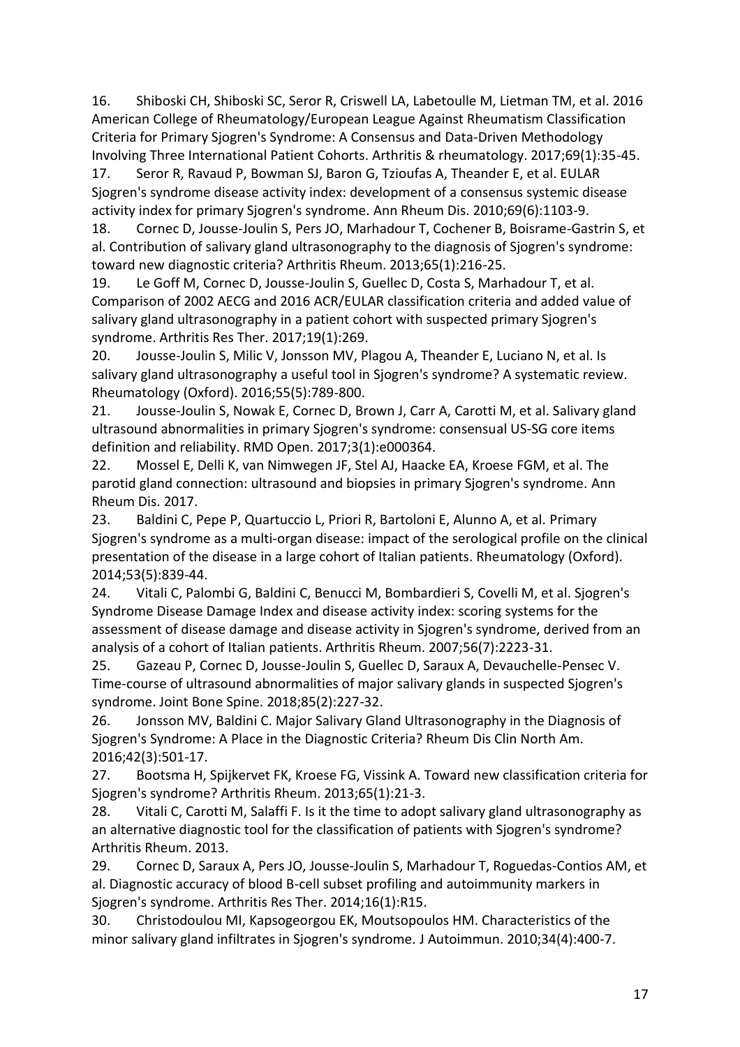16. Shiboski CH, Shiboski SC, Seror R, Criswell LA, Labetoulle M, Lietman TM, et al. 2016 American College of Rheumatology/European League Against Rheumatism Classification Criteria for Primary Sjogren's Syndrome: A Consensus and Data-Driven Methodology Involving Three International Patient Cohorts. Arthritis & rheumatology. 2017;69(1):35-45.

17. Seror R, Ravaud P, Bowman SJ, Baron G, Tzioufas A, Theander E, et al. EULAR Sjogren's syndrome disease activity index: development of a consensus systemic disease activity index for primary Sjogren's syndrome. Ann Rheum Dis. 2010;69(6):1103-9.

18. Cornec D, Jousse-Joulin S, Pers JO, Marhadour T, Cochener B, Boisrame-Gastrin S, et al. Contribution of salivary gland ultrasonography to the diagnosis of Sjogren's syndrome: toward new diagnostic criteria? Arthritis Rheum. 2013;65(1):216-25.

19. Le Goff M, Cornec D, Jousse-Joulin S, Guellec D, Costa S, Marhadour T, et al. Comparison of 2002 AECG and 2016 ACR/EULAR classification criteria and added value of salivary gland ultrasonography in a patient cohort with suspected primary Sjogren's syndrome. Arthritis Res Ther. 2017;19(1):269.

20. Jousse-Joulin S, Milic V, Jonsson MV, Plagou A, Theander E, Luciano N, et al. Is salivary gland ultrasonography a useful tool in Sjogren's syndrome? A systematic review. Rheumatology (Oxford). 2016;55(5):789-800.

21. Jousse-Joulin S, Nowak E, Cornec D, Brown J, Carr A, Carotti M, et al. Salivary gland ultrasound abnormalities in primary Sjogren's syndrome: consensual US-SG core items definition and reliability. RMD Open. 2017;3(1):e000364.

22. Mossel E, Delli K, van Nimwegen JF, Stel AJ, Haacke EA, Kroese FGM, et al. The parotid gland connection: ultrasound and biopsies in primary Sjogren's syndrome. Ann Rheum Dis. 2017.

23. Baldini C, Pepe P, Quartuccio L, Priori R, Bartoloni E, Alunno A, et al. Primary Sjogren's syndrome as a multi-organ disease: impact of the serological profile on the clinical presentation of the disease in a large cohort of Italian patients. Rheumatology (Oxford). 2014;53(5):839-44.

24. Vitali C, Palombi G, Baldini C, Benucci M, Bombardieri S, Covelli M, et al. Sjogren's Syndrome Disease Damage Index and disease activity index: scoring systems for the assessment of disease damage and disease activity in Sjogren's syndrome, derived from an analysis of a cohort of Italian patients. Arthritis Rheum. 2007;56(7):2223-31.

25. Gazeau P, Cornec D, Jousse-Joulin S, Guellec D, Saraux A, Devauchelle-Pensec V. Time-course of ultrasound abnormalities of major salivary glands in suspected Sjogren's syndrome. Joint Bone Spine. 2018;85(2):227-32.

26. Jonsson MV, Baldini C. Major Salivary Gland Ultrasonography in the Diagnosis of Sjogren's Syndrome: A Place in the Diagnostic Criteria? Rheum Dis Clin North Am. 2016;42(3):501-17.

27. Bootsma H, Spijkervet FK, Kroese FG, Vissink A. Toward new classification criteria for Sjogren's syndrome? Arthritis Rheum. 2013;65(1):21-3.

28. Vitali C, Carotti M, Salaffi F. Is it the time to adopt salivary gland ultrasonography as an alternative diagnostic tool for the classification of patients with Sjogren's syndrome? Arthritis Rheum. 2013.

29. Cornec D, Saraux A, Pers JO, Jousse-Joulin S, Marhadour T, Roguedas-Contios AM, et al. Diagnostic accuracy of blood B-cell subset profiling and autoimmunity markers in Sjogren's syndrome. Arthritis Res Ther. 2014;16(1):R15.

30. Christodoulou MI, Kapsogeorgou EK, Moutsopoulos HM. Characteristics of the minor salivary gland infiltrates in Sjogren's syndrome. J Autoimmun. 2010;34(4):400-7.